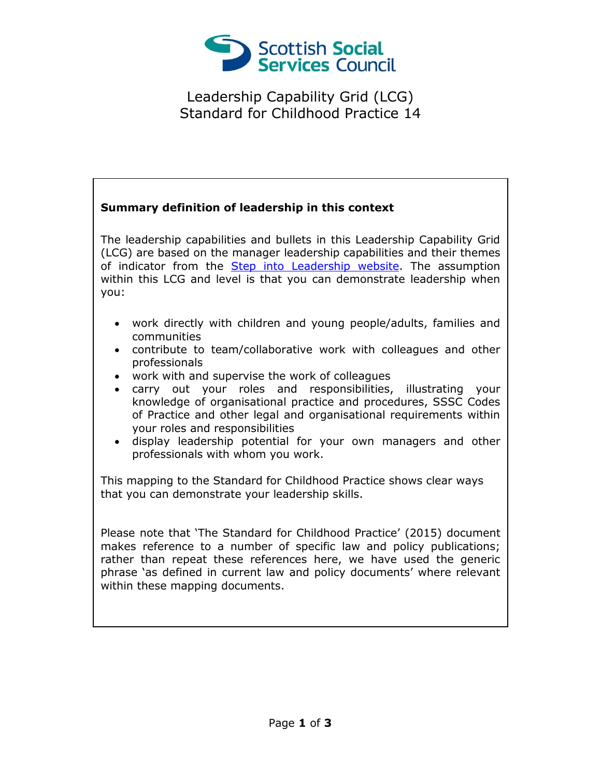

Leadership Capability Grid (LCG) Standard for Childhood Practice 14

## **Summary definition of leadership in this context**

The leadership capabilities and bullets in this Leadership Capability Grid (LCG) are based on the manager leadership capabilities and their themes of indicator from the [Step into Leadership website.](http://www.stepintoleadership.info/) The assumption within this LCG and level is that you can demonstrate leadership when you:

- work directly with children and young people/adults, families and communities
- contribute to team/collaborative work with colleagues and other professionals
- work with and supervise the work of colleagues
- carry out your roles and responsibilities, illustrating your knowledge of organisational practice and procedures, SSSC Codes of Practice and other legal and organisational requirements within your roles and responsibilities
- display leadership potential for your own managers and other professionals with whom you work.

This mapping to the Standard for Childhood Practice shows clear ways that you can demonstrate your leadership skills.

Please note that 'The Standard for Childhood Practice' (2015) document makes reference to a number of specific law and policy publications; rather than repeat these references here, we have used the generic phrase 'as defined in current law and policy documents' where relevant within these mapping documents.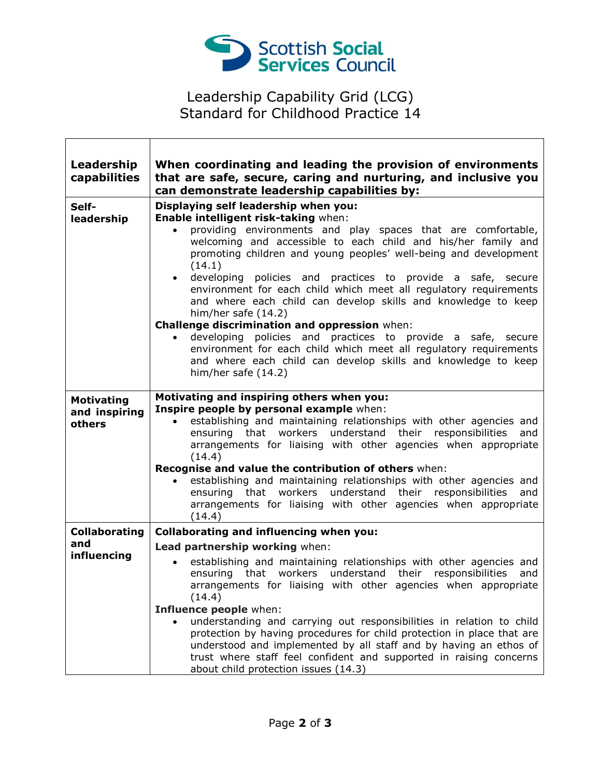

## Leadership Capability Grid (LCG) Standard for Childhood Practice 14

٦

| Leadership<br>capabilities                   | When coordinating and leading the provision of environments<br>that are safe, secure, caring and nurturing, and inclusive you<br>can demonstrate leadership capabilities by:                                                                                                                                                                                                                                                                                                                                                                                                                                                                                                                                                                                                                                        |
|----------------------------------------------|---------------------------------------------------------------------------------------------------------------------------------------------------------------------------------------------------------------------------------------------------------------------------------------------------------------------------------------------------------------------------------------------------------------------------------------------------------------------------------------------------------------------------------------------------------------------------------------------------------------------------------------------------------------------------------------------------------------------------------------------------------------------------------------------------------------------|
| Self-<br>leadership                          | Displaying self leadership when you:<br>Enable intelligent risk-taking when:<br>providing environments and play spaces that are comfortable,<br>$\bullet$<br>welcoming and accessible to each child and his/her family and<br>promoting children and young peoples' well-being and development<br>(14.1)<br>developing policies and practices to provide a safe, secure<br>environment for each child which meet all regulatory requirements<br>and where each child can develop skills and knowledge to keep<br>him/her safe (14.2)<br>Challenge discrimination and oppression when:<br>developing policies and practices to provide a safe, secure<br>environment for each child which meet all regulatory requirements<br>and where each child can develop skills and knowledge to keep<br>him/her safe $(14.2)$ |
| <b>Motivating</b><br>and inspiring<br>others | Motivating and inspiring others when you:<br>Inspire people by personal example when:<br>establishing and maintaining relationships with other agencies and<br>$\bullet$<br>understand their responsibilities<br>ensuring that workers<br>and<br>arrangements for liaising with other agencies when appropriate<br>(14.4)<br>Recognise and value the contribution of others when:<br>establishing and maintaining relationships with other agencies and<br>$\bullet$<br>understand their responsibilities<br>ensuring that workers<br>and<br>arrangements for liaising with other agencies when appropriate<br>(14.4)                                                                                                                                                                                               |
| <b>Collaborating</b><br>and<br>influencing   | <b>Collaborating and influencing when you:</b><br>Lead partnership working when:<br>establishing and maintaining relationships with other agencies and<br>ensuring that workers understand their responsibilities<br>and<br>arrangements for liaising with other agencies when appropriate<br>(14.4)<br>Influence people when:<br>understanding and carrying out responsibilities in relation to child<br>protection by having procedures for child protection in place that are<br>understood and implemented by all staff and by having an ethos of<br>trust where staff feel confident and supported in raising concerns<br>about child protection issues (14.3)                                                                                                                                                 |